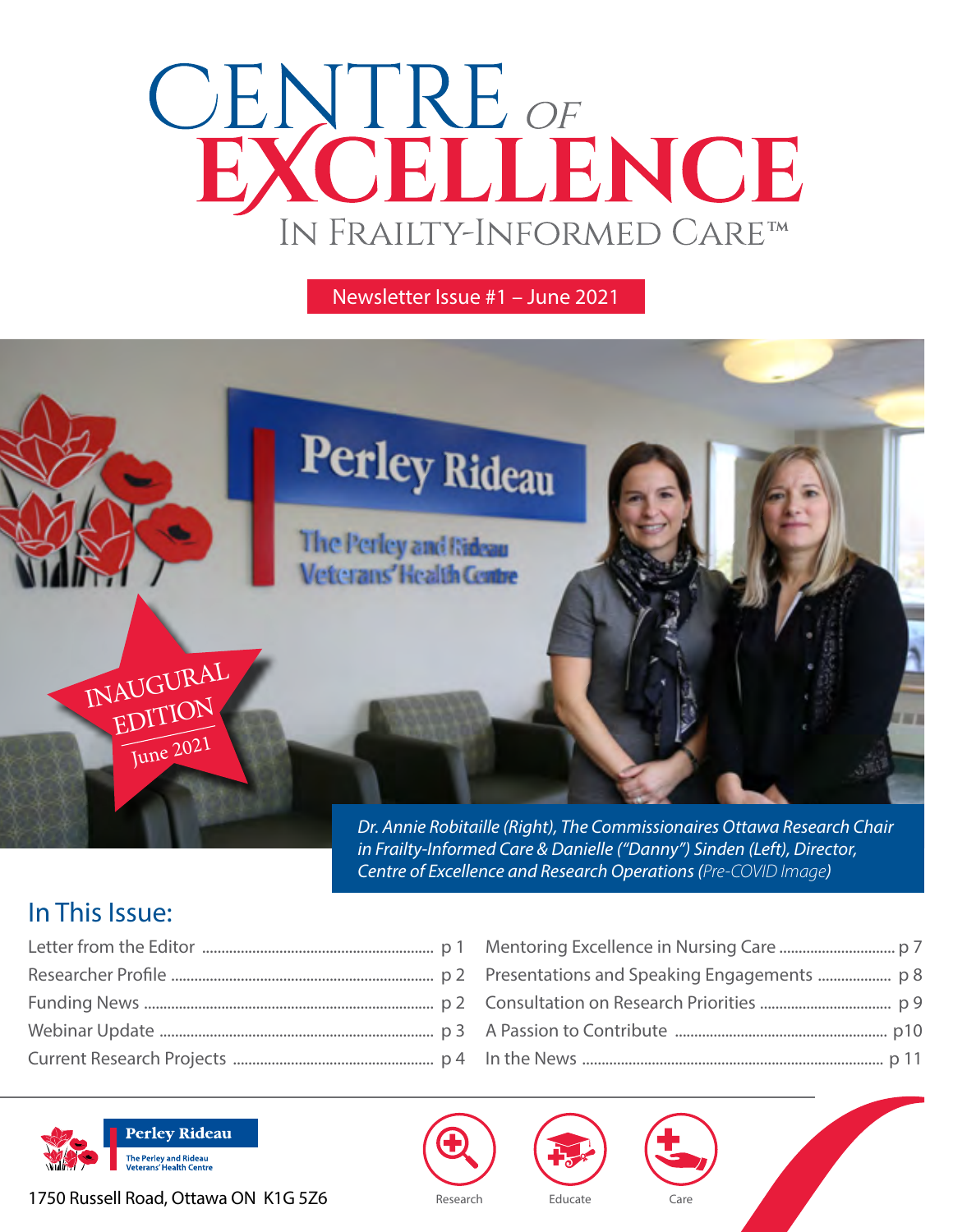# CENTRE OF<br>EXCELLENCE IN FRAILTY-INFORMED CARETM

#### Newsletter Issue #1 – June 2021



*Dr. Annie Robitaille (Right), The Commissionaires Ottawa Research Chair in Frailty-Informed Care & Danielle ("Danny") Sinden (Left), Director, Centre of Excellence and Research Operations (Pre-COVID Image)*

## In This Issue:



1750 Russell Road, Ottawa ON K1G 5Z6 Research Educate





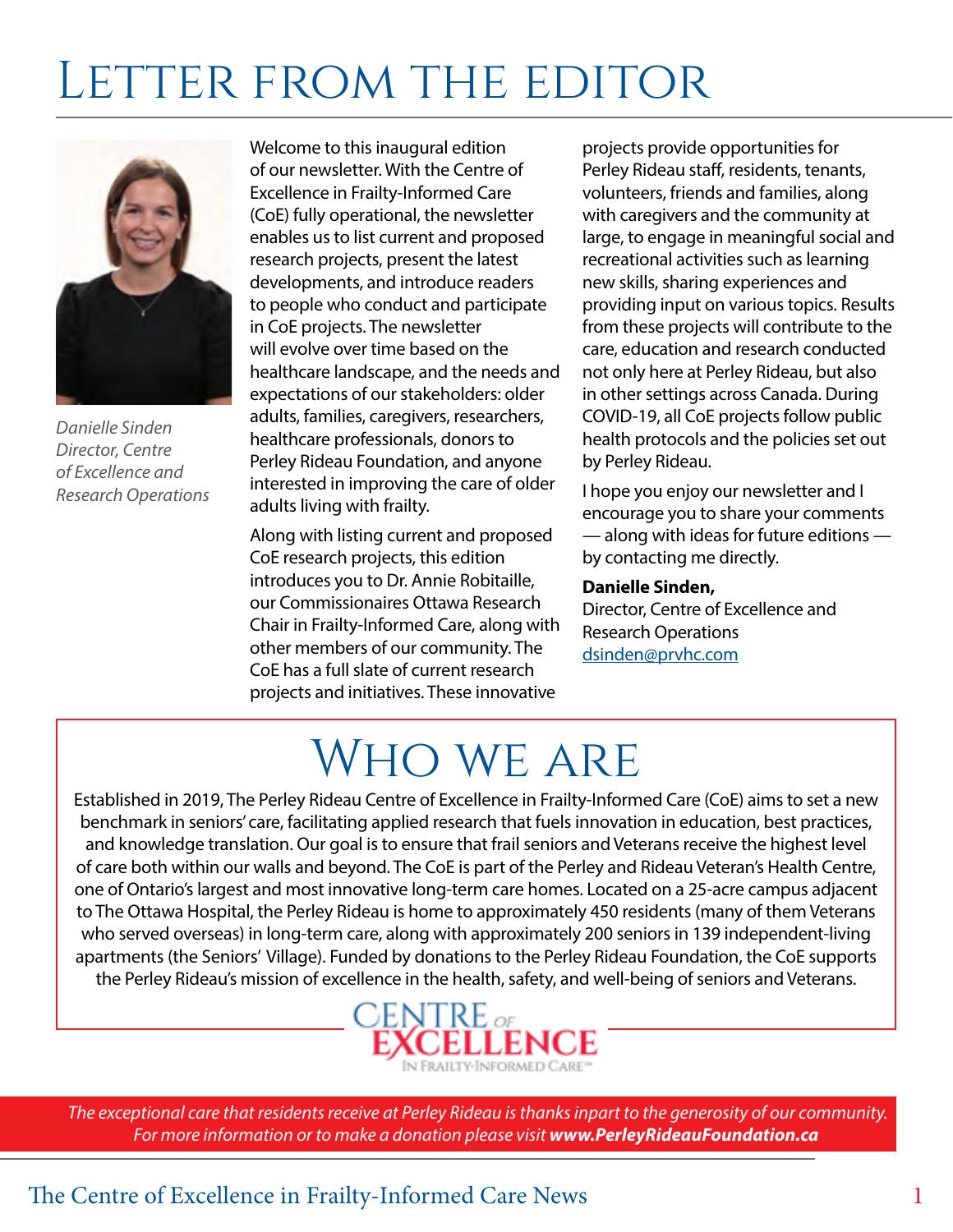## LETTER FROM THE EDITOR



*Danielle Sinden Director, Centre of Excellence and Research Operations*

Welcome to this inaugural edition of our newsletter. With the Centre of Excellence in Frailty-Informed Care (CoE) fully operational, the newsletter enables us to list current and proposed research projects, present the latest developments, and introduce readers to people who conduct and participate in CoE projects. The newsletter will evolve over time based on the healthcare landscape, and the needs and expectations of our stakeholders: older adults, families, caregivers, researchers, healthcare professionals, donors to Perley Rideau Foundation, and anyone interested in improving the care of older adults living with frailty.

Along with listing current and proposed CoE research projects, this edition introduces you to Dr. Annie Robitaille, our Commissionaires Ottawa Research Chair in Frailty-Informed Care, along with other members of our community. The CoE has a full slate of current research projects and initiatives. These innovative

projects provide opportunities for Perley Rideau staff, residents, tenants, volunteers, friends and families, along with caregivers and the community at large, to engage in meaningful social and recreational activities such as learning new skills, sharing experiences and providing input on various topics. Results from these projects will contribute to the care, education and research conducted not only here at Perley Rideau, but also in other settings across Canada. During COVID-19, all CoE projects follow public health protocols and the policies set out by Perley Rideau.

I hope you enjoy our newsletter and I encourage you to share your comments — along with ideas for future editions by contacting me directly.

#### **Danielle Sinden,**

Director, Centre of Excellence and Research Operations [dsinden@prvhc.com](mailto:dsinden@prvhc.com )

## Who we are

Established in 2019, The Perley Rideau Centre of Excellence in Frailty-Informed Care (CoE) aims to set a new benchmark in seniors' care, facilitating applied research that fuels innovation in education, best practices, and knowledge translation. Our goal is to ensure that frail seniors and Veterans receive the highest level of care both within our walls and beyond. The CoE is part of the Perley and Rideau Veteran's Health Centre, one of Ontario's largest and most innovative long-term care homes. Located on a 25-acre campus adjacent to The Ottawa Hospital, the Perley Rideau is home to approximately 450 residents (many of them Veterans who served overseas) in long-term care, along with approximately 200 seniors in 139 independent-living apartments (the Seniors' Village). Funded by donations to the Perley Rideau Foundation, the CoE supports the Perley Rideau's mission of excellence in the health, safety, and well-being of seniors and Veterans.



 *The exceptional care that residents receive at Perley Rideau is thanks inpart to the generosity of our community. For more information or to make a donation please visit www.PerleyRideauFoundation.ca*

### The Centre of Excellence in Frailty-Informed Care News 1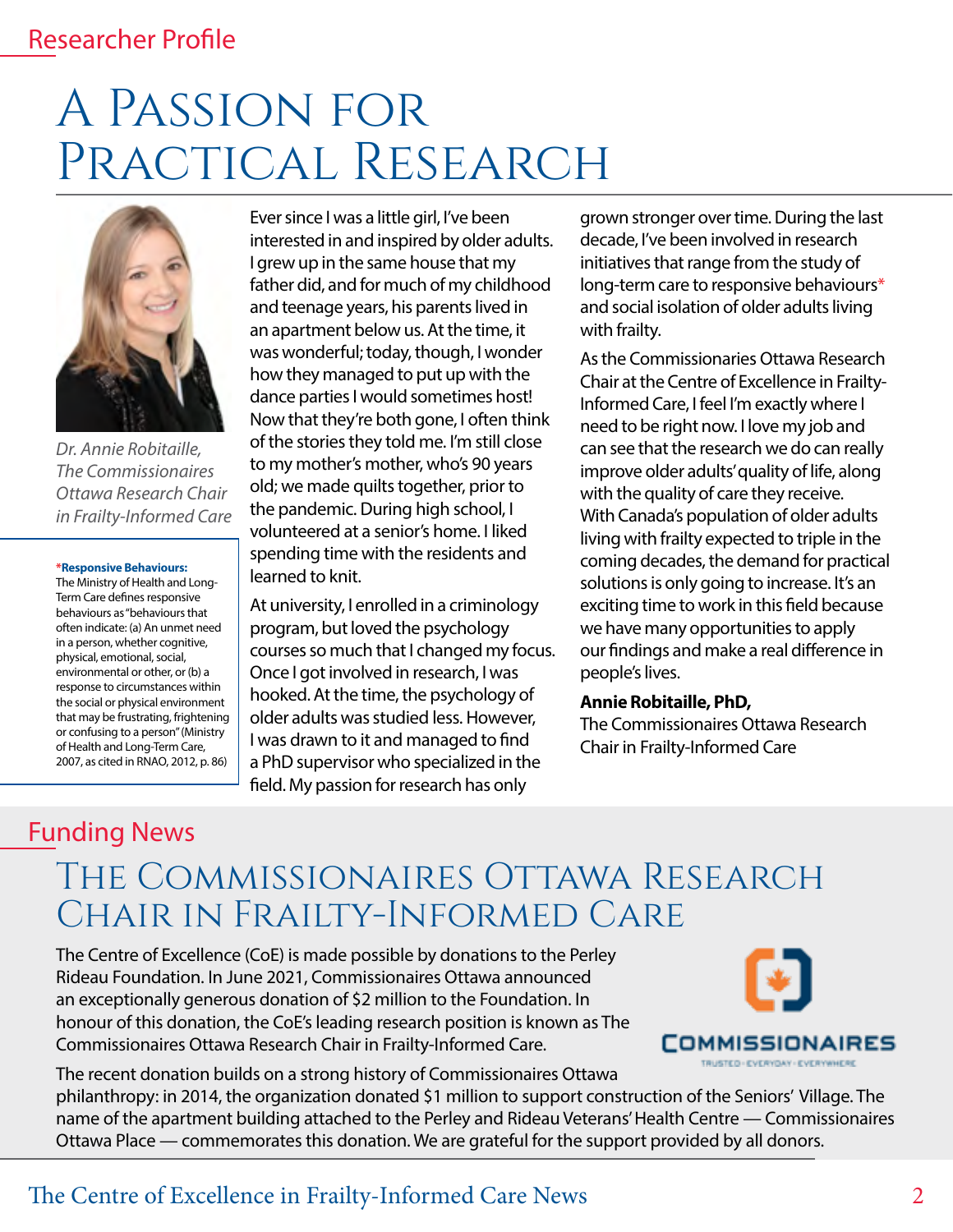### Researcher Profile

## A Passion for PRACTICAL RESEARCH



*Dr. Annie Robitaille, The Commissionaires Ottawa Research Chair in Frailty-Informed Care*

#### **\*Responsive Behaviours:**

The Ministry of Health and Long-Term Care defines responsive behaviours as "behaviours that often indicate: (a) An unmet need in a person, whether cognitive, physical, emotional, social, environmental or other, or (b) a response to circumstances within the social or physical environment that may be frustrating, frightening or confusing to a person" (Ministry of Health and Long-Term Care, 2007, as cited in RNAO, 2012, p. 86)

Ever since I was a little girl, I've been interested in and inspired by older adults. I grew up in the same house that my father did, and for much of my childhood and teenage years, his parents lived in an apartment below us. At the time, it was wonderful; today, though, I wonder how they managed to put up with the dance parties I would sometimes host! Now that they're both gone, I often think of the stories they told me. I'm still close to my mother's mother, who's 90 years old; we made quilts together, prior to the pandemic. During high school, I volunteered at a senior's home. I liked spending time with the residents and learned to knit.

At university, I enrolled in a criminology program, but loved the psychology courses so much that I changed my focus. Once I got involved in research, I was hooked. At the time, the psychology of older adults was studied less. However, I was drawn to it and managed to find a PhD supervisor who specialized in the field. My passion for research has only

grown stronger over time. During the last decade, I've been involved in research initiatives that range from the study of long-term care to responsive behaviours\* and social isolation of older adults living with frailty.

As the Commissionaries Ottawa Research Chair at the Centre of Excellence in Frailty-Informed Care, I feel I'm exactly where I need to be right now. I love my job and can see that the research we do can really improve older adults' quality of life, along with the quality of care they receive. With Canada's population of older adults living with frailty expected to triple in the coming decades, the demand for practical solutions is only going to increase. It's an exciting time to work in this field because we have many opportunities to apply our findings and make a real difference in people's lives.

#### **Annie Robitaille, PhD,**

The Commissionaires Ottawa Research Chair in Frailty-Informed Care

### Funding News

## The Commissionaires Ottawa Research Chair in Frailty-Informed Care

The Centre of Excellence (CoE) is made possible by donations to the Perley Rideau Foundation. In June 2021, Commissionaires Ottawa announced an exceptionally generous donation of \$2 million to the Foundation. In honour of this donation, the CoE's leading research position is known as The Commissionaires Ottawa Research Chair in Frailty-Informed Care.



The recent donation builds on a strong history of Commissionaires Ottawa philanthropy: in 2014, the organization donated \$1 million to support construction of the Seniors' Village. The name of the apartment building attached to the Perley and Rideau Veterans' Health Centre — Commissionaires Ottawa Place — commemorates this donation. We are grateful for the support provided by all donors.

### The Centre of Excellence in Frailty-Informed Care News 2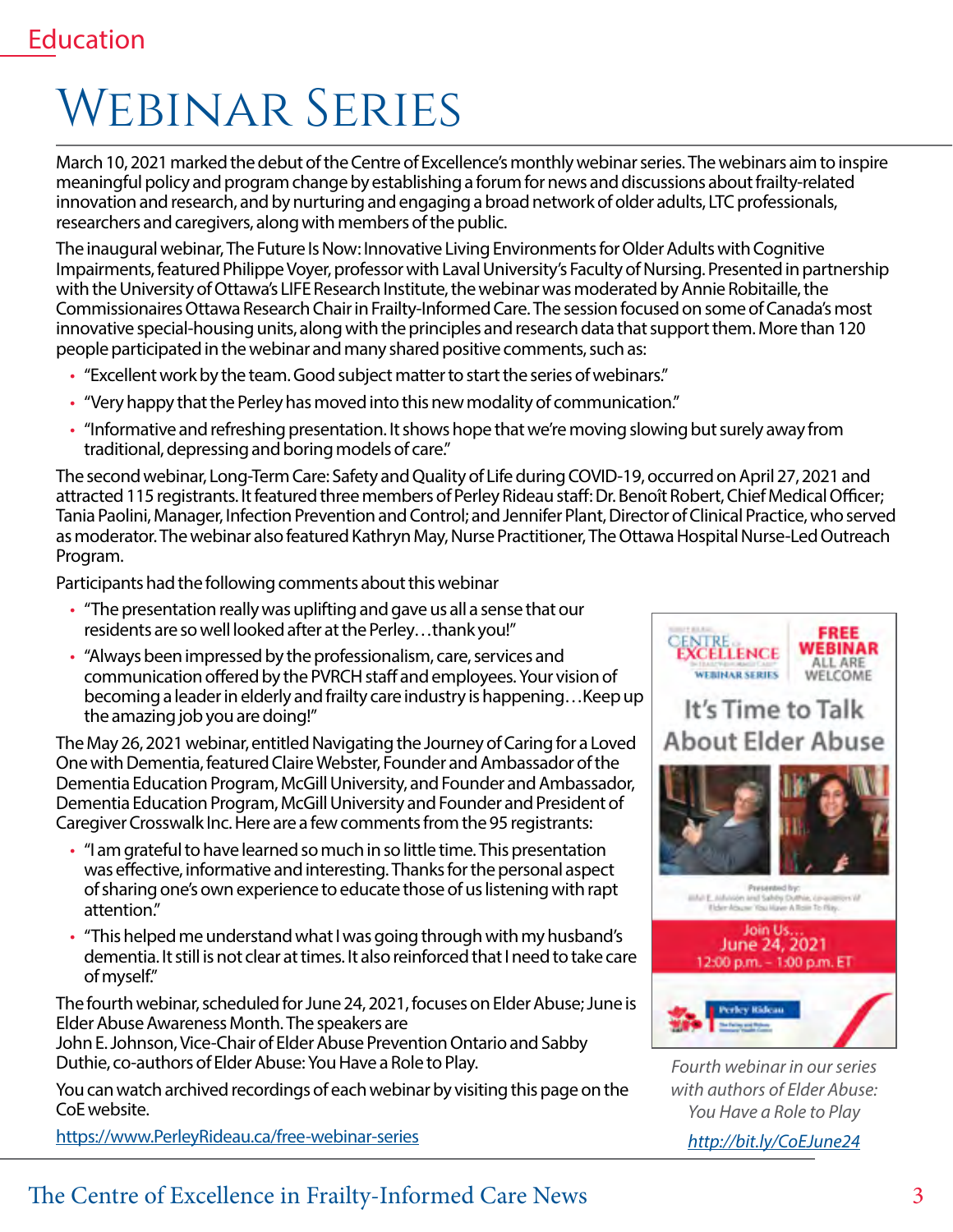## Webinar Series

March 10, 2021 marked the debut of the Centre of Excellence's monthly webinar series. The webinars aim to inspire meaningful policy and program change by establishing a forum for news and discussions about frailty-related innovation and research, and by nurturing and engaging a broad network of older adults, LTC professionals, researchers and caregivers, along with members of the public.

The inaugural webinar, The Future Is Now: Innovative Living Environments for Older Adults with Cognitive Impairments, featured Philippe Voyer, professor with Laval University's Faculty of Nursing. Presented in partnership with the University of Ottawa's LIFE Research Institute, the webinar was moderated by Annie Robitaille, the Commissionaires Ottawa Research Chair in Frailty-Informed Care. The session focused on some of Canada's most innovative special-housing units, along with the principles and research data that support them. More than 120 people participated in the webinar and many shared positive comments, such as:

- "Excellent work by the team. Good subject matter to start the series of webinars."
- "Very happy that the Perley has moved into this new modality of communication."
- "Informative and refreshing presentation. It shows hope that we're moving slowing but surely away from traditional, depressing and boring models of care."

The second webinar, Long-Term Care: Safety and Quality of Life during COVID-19, occurred on April 27, 2021 and attracted 115 registrants. It featured three members of Perley Rideau staff: Dr. Benoît Robert, Chief Medical Officer; Tania Paolini, Manager, Infection Prevention and Control; and Jennifer Plant, Director of Clinical Practice, who served as moderator. The webinar also featured Kathryn May, Nurse Practitioner, The Ottawa Hospital Nurse-Led Outreach Program.

Participants had the following comments about this webinar

- "The presentation really was uplifting and gave us all a sense that our residents are so well looked after at the Perley…thank you!"
- "Always been impressed by the professionalism, care, services and communication offered by the PVRCH staff and employees. Your vision of becoming a leader in elderly and frailty care industry is happening…Keep up the amazing job you are doing!"

The May 26, 2021 webinar, entitled Navigating the Journey of Caring for a Loved One with Dementia, featured Claire Webster, Founder and Ambassador of the Dementia Education Program, McGill University, and Founder and Ambassador, Dementia Education Program, McGill University and Founder and President of Caregiver Crosswalk Inc. Here are a few comments from the 95 registrants:

- "I am grateful to have learned so much in so little time. This presentation was effective, informative and interesting. Thanks for the personal aspect of sharing one's own experience to educate those of us listening with rapt attention."
- "This helped me understand what I was going through with my husband's dementia. It still is not clear at times. It also reinforced that I need to take care of myself."

The fourth webinar, scheduled for June 24, 2021, focuses on Elder Abuse; June is Elder Abuse Awareness Month. The speakers are

John E. Johnson, Vice-Chair of Elder Abuse Prevention Ontario and Sabby Duthie, co-authors of Elder Abuse: You Have a Role to Play.

You can watch archived recordings of each webinar by visiting this page on the CoE website.

[https://www.PerleyRideau.ca/free-webinar-series](https://www.perleyrideau.ca/free-webinar-series )



*Fourth webinar in our series with authors of Elder Abuse: You Have a Role to Play*

*<http://bit.ly/CoEJune24>*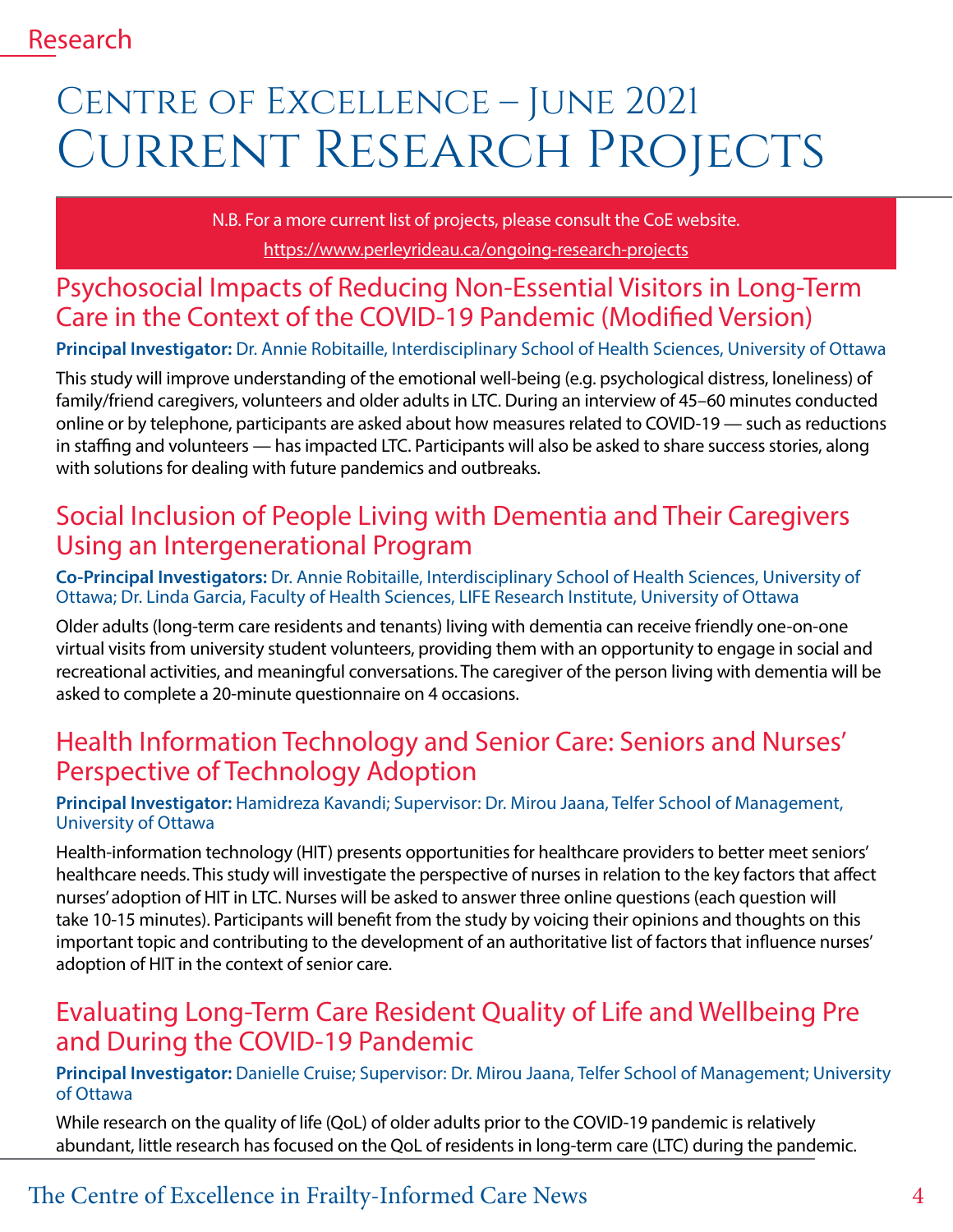## CENTRE OF EXCELLENCE – JUNE 2021 Current Research Projects

N.B. For a more current list of projects, please consult the CoE website. <https://www.perleyrideau.ca/ongoing-research-projects>

### Psychosocial Impacts of Reducing Non-Essential Visitors in Long-Term Care in the Context of the COVID-19 Pandemic (Modified Version)

**Principal Investigator:** Dr. Annie Robitaille, Interdisciplinary School of Health Sciences, University of Ottawa

This study will improve understanding of the emotional well-being (e.g. psychological distress, loneliness) of family/friend caregivers, volunteers and older adults in LTC. During an interview of 45–60 minutes conducted online or by telephone, participants are asked about how measures related to COVID-19 — such as reductions in staffing and volunteers — has impacted LTC. Participants will also be asked to share success stories, along with solutions for dealing with future pandemics and outbreaks.

## Social Inclusion of People Living with Dementia and Their Caregivers Using an Intergenerational Program

**Co-Principal Investigators:** Dr. Annie Robitaille, Interdisciplinary School of Health Sciences, University of Ottawa; Dr. Linda Garcia, Faculty of Health Sciences, LIFE Research Institute, University of Ottawa

Older adults (long-term care residents and tenants) living with dementia can receive friendly one-on-one virtual visits from university student volunteers, providing them with an opportunity to engage in social and recreational activities, and meaningful conversations. The caregiver of the person living with dementia will be asked to complete a 20-minute questionnaire on 4 occasions.

## Health Information Technology and Senior Care: Seniors and Nurses' Perspective of Technology Adoption

#### **Principal Investigator:** Hamidreza Kavandi; Supervisor: Dr. Mirou Jaana, Telfer School of Management, University of Ottawa

Health-information technology (HIT) presents opportunities for healthcare providers to better meet seniors' healthcare needs. This study will investigate the perspective of nurses in relation to the key factors that affect nurses' adoption of HIT in LTC. Nurses will be asked to answer three online questions (each question will take 10-15 minutes). Participants will benefit from the study by voicing their opinions and thoughts on this important topic and contributing to the development of an authoritative list of factors that influence nurses' adoption of HIT in the context of senior care.

### Evaluating Long-Term Care Resident Quality of Life and Wellbeing Pre and During the COVID-19 Pandemic

**Principal Investigator:** Danielle Cruise; Supervisor: Dr. Mirou Jaana, Telfer School of Management; University of Ottawa

While research on the quality of life (QoL) of older adults prior to the COVID-19 pandemic is relatively abundant, little research has focused on the QoL of residents in long-term care (LTC) during the pandemic.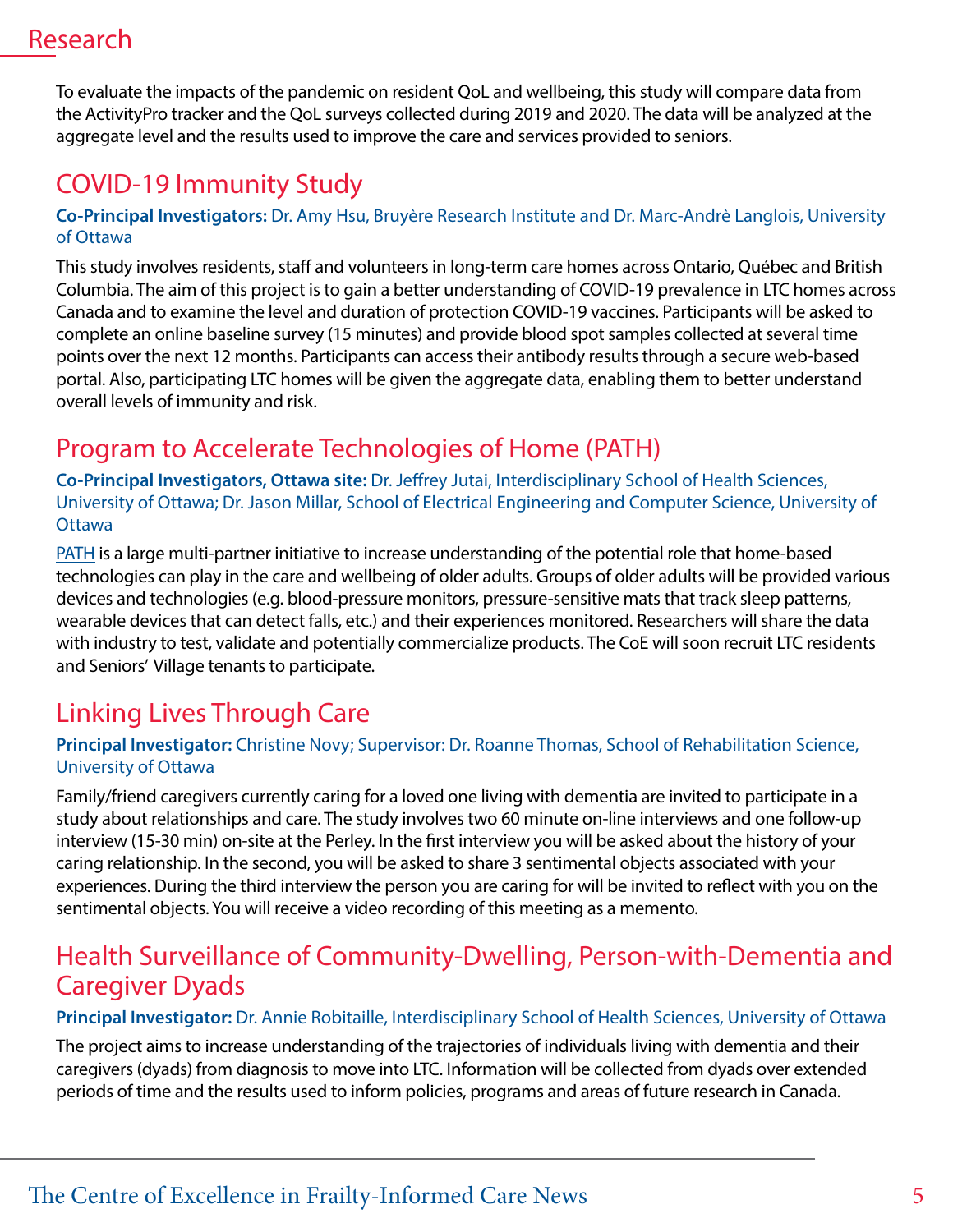## Research

To evaluate the impacts of the pandemic on resident QoL and wellbeing, this study will compare data from the ActivityPro tracker and the QoL surveys collected during 2019 and 2020. The data will be analyzed at the aggregate level and the results used to improve the care and services provided to seniors.

## COVID-19 Immunity Study

#### **Co-Principal Investigators:** Dr. Amy Hsu, Bruyère Research Institute and Dr. Marc-Andrè Langlois, University of Ottawa

This study involves residents, staff and volunteers in long-term care homes across Ontario, Québec and British Columbia. The aim of this project is to gain a better understanding of COVID-19 prevalence in LTC homes across Canada and to examine the level and duration of protection COVID-19 vaccines. Participants will be asked to complete an online baseline survey (15 minutes) and provide blood spot samples collected at several time points over the next 12 months. Participants can access their antibody results through a secure web-based portal. Also, participating LTC homes will be given the aggregate data, enabling them to better understand overall levels of immunity and risk.

## Program to Accelerate Technologies of Home (PATH)

**Co-Principal Investigators, Ottawa site:** Dr. Jeffrey Jutai, Interdisciplinary School of Health Sciences, University of Ottawa; Dr. Jason Millar, School of Electrical Engineering and Computer Science, University of **Ottawa** 

[PATH](https://pathplatform.ca/) is a large multi-partner initiative to increase understanding of the potential role that home-based technologies can play in the care and wellbeing of older adults. Groups of older adults will be provided various devices and technologies (e.g. blood-pressure monitors, pressure-sensitive mats that track sleep patterns, wearable devices that can detect falls, etc.) and their experiences monitored. Researchers will share the data with industry to test, validate and potentially commercialize products. The CoE will soon recruit LTC residents and Seniors' Village tenants to participate.

## Linking Lives Through Care

#### **Principal Investigator:** Christine Novy; Supervisor: Dr. Roanne Thomas, School of Rehabilitation Science, University of Ottawa

Family/friend caregivers currently caring for a loved one living with dementia are invited to participate in a study about relationships and care. The study involves two 60 minute on-line interviews and one follow-up interview (15-30 min) on-site at the Perley. In the first interview you will be asked about the history of your caring relationship. In the second, you will be asked to share 3 sentimental objects associated with your experiences. During the third interview the person you are caring for will be invited to reflect with you on the sentimental objects. You will receive a video recording of this meeting as a memento.

## Health Surveillance of Community-Dwelling, Person-with-Dementia and Caregiver Dyads

#### **Principal Investigator:** Dr. Annie Robitaille, Interdisciplinary School of Health Sciences, University of Ottawa

The project aims to increase understanding of the trajectories of individuals living with dementia and their caregivers (dyads) from diagnosis to move into LTC. Information will be collected from dyads over extended periods of time and the results used to inform policies, programs and areas of future research in Canada.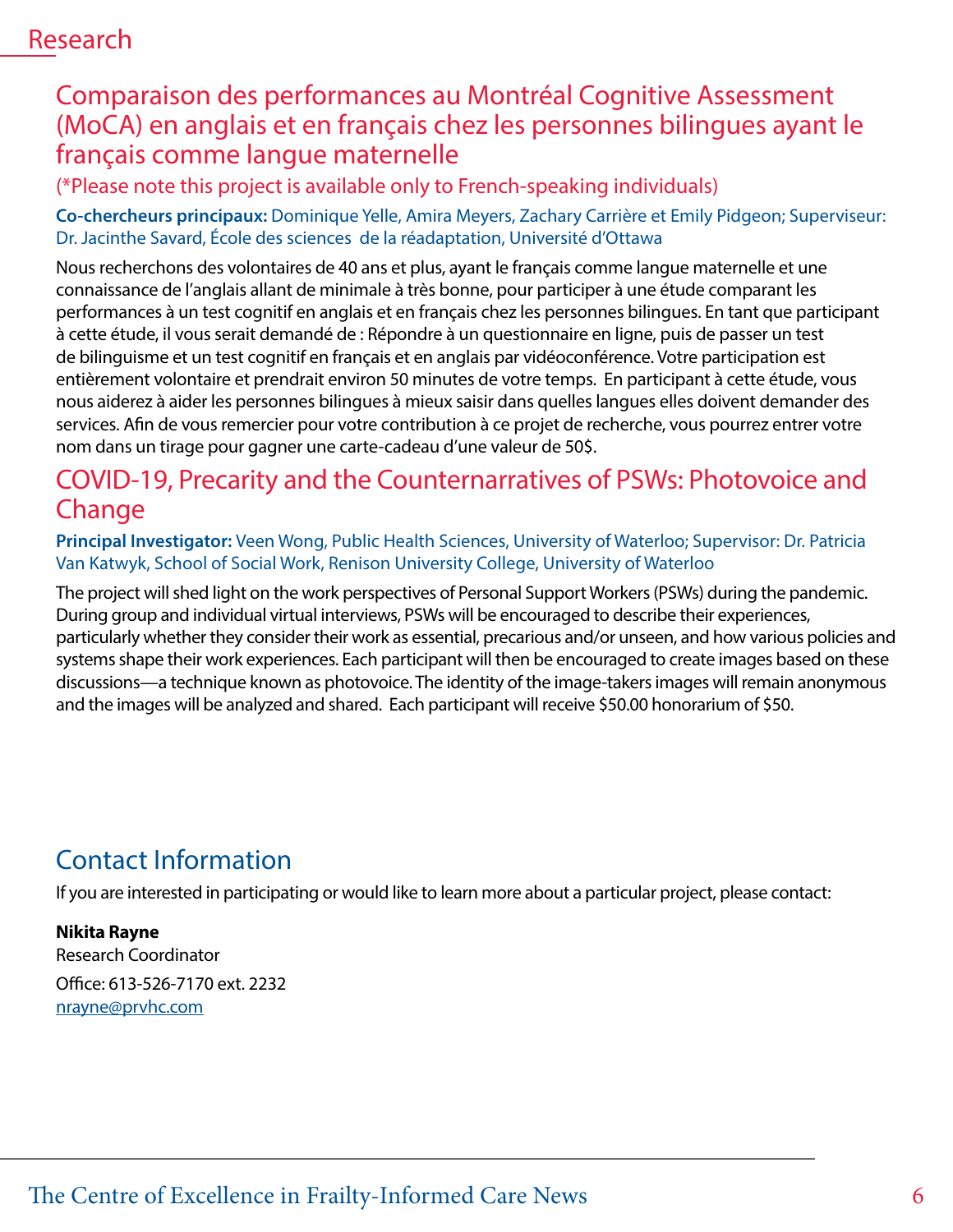### Research

### Comparaison des performances au Montréal Cognitive Assessment (MoCA) en anglais et en français chez les personnes bilingues ayant le français comme langue maternelle

(\*Please note this project is available only to French-speaking individuals)

**Co-chercheurs principaux:** Dominique Yelle, Amira Meyers, Zachary Carrière et Emily Pidgeon; Superviseur: Dr. Jacinthe Savard, École des sciences de la réadaptation, Université d'Ottawa

Nous recherchons des volontaires de 40 ans et plus, ayant le français comme langue maternelle et une connaissance de l'anglais allant de minimale à très bonne, pour participer à une étude comparant les performances à un test cognitif en anglais et en français chez les personnes bilingues. En tant que participant à cette étude, il vous serait demandé de : Répondre à un questionnaire en ligne, puis de passer un test de bilinguisme et un test cognitif en français et en anglais par vidéoconférence. Votre participation est entièrement volontaire et prendrait environ 50 minutes de votre temps. En participant à cette étude, vous nous aiderez à aider les personnes bilingues à mieux saisir dans quelles langues elles doivent demander des services. Afin de vous remercier pour votre contribution à ce projet de recherche, vous pourrez entrer votre nom dans un tirage pour gagner une carte-cadeau d'une valeur de 50\$.

## COVID-19, Precarity and the Counternarratives of PSWs: Photovoice and **Change**

**Principal Investigator:** Veen Wong, Public Health Sciences, University of Waterloo; Supervisor: Dr. Patricia Van Katwyk, School of Social Work, Renison University College, University of Waterloo

The project will shed light on the work perspectives of Personal Support Workers (PSWs) during the pandemic. During group and individual virtual interviews, PSWs will be encouraged to describe their experiences, particularly whether they consider their work as essential, precarious and/or unseen, and how various policies and systems shape their work experiences. Each participant will then be encouraged to create images based on these discussions—a technique known as photovoice. The identity of the image-takers images will remain anonymous and the images will be analyzed and shared. Each participant will receive \$50.00 honorarium of \$50.

## Contact Information

If you are interested in participating or would like to learn more about a particular project, please contact:

**Nikita Rayne** Research Coordinator Office: 613-526-7170 ext. 2232 [nrayne@prvhc.com](mailto:nrayne@prvhc.com)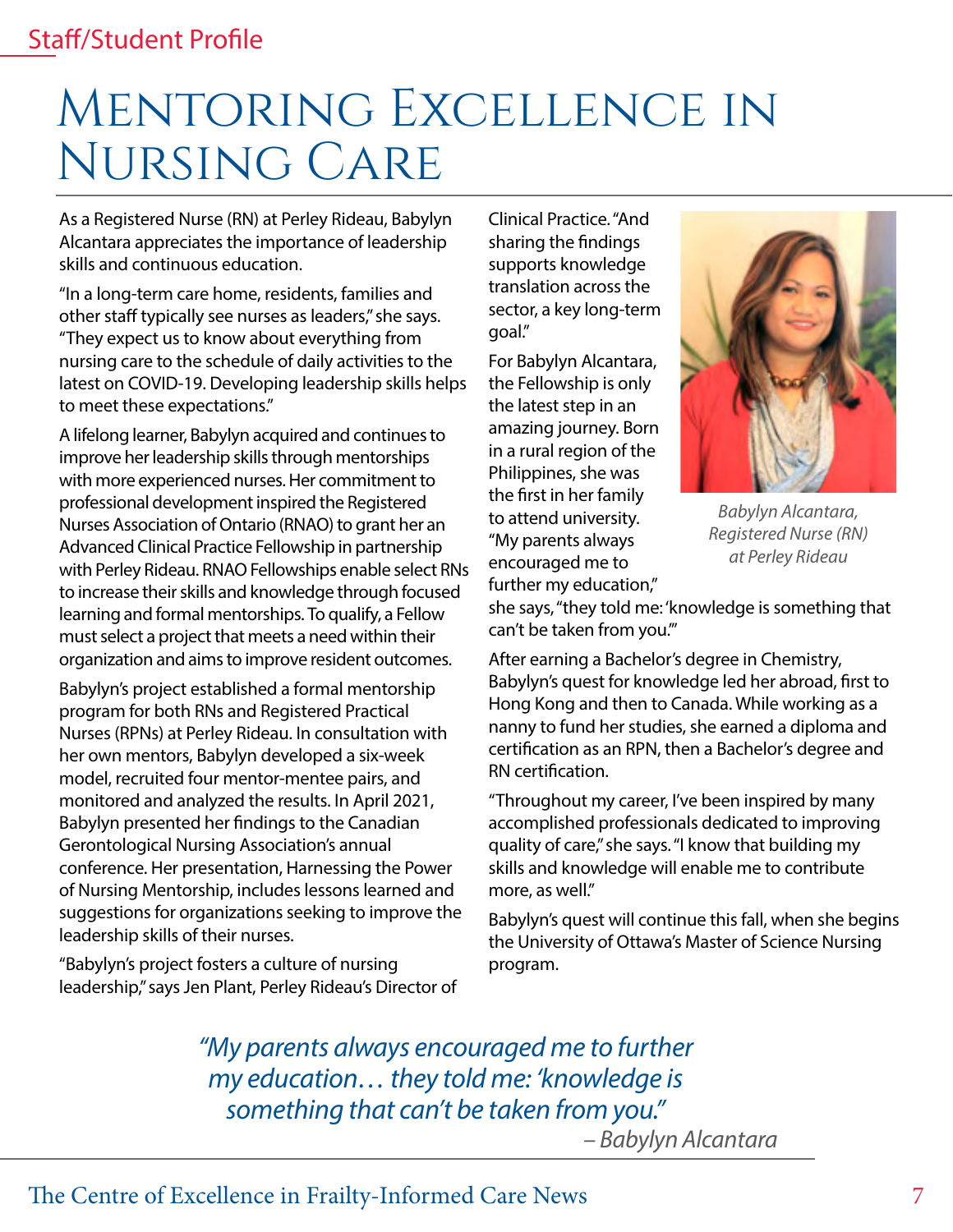## Mentoring Excellence in Nursing Care

As a Registered Nurse (RN) at Perley Rideau, Babylyn Alcantara appreciates the importance of leadership skills and continuous education.

"In a long-term care home, residents, families and other staff typically see nurses as leaders," she says. "They expect us to know about everything from nursing care to the schedule of daily activities to the latest on COVID-19. Developing leadership skills helps to meet these expectations."

A lifelong learner, Babylyn acquired and continues to improve her leadership skills through mentorships with more experienced nurses. Her commitment to professional development inspired the Registered Nurses Association of Ontario (RNAO) to grant her an Advanced Clinical Practice Fellowship in partnership with Perley Rideau. RNAO Fellowships enable select RNs to increase their skills and knowledge through focused learning and formal mentorships. To qualify, a Fellow must select a project that meets a need within their organization and aims to improve resident outcomes.

Babylyn's project established a formal mentorship program for both RNs and Registered Practical Nurses (RPNs) at Perley Rideau. In consultation with her own mentors, Babylyn developed a six-week model, recruited four mentor-mentee pairs, and monitored and analyzed the results. In April 2021, Babylyn presented her findings to the Canadian Gerontological Nursing Association's annual conference. Her presentation, Harnessing the Power of Nursing Mentorship, includes lessons learned and suggestions for organizations seeking to improve the leadership skills of their nurses.

"Babylyn's project fosters a culture of nursing leadership," says Jen Plant, Perley Rideau's Director of Clinical Practice. "And sharing the findings supports knowledge translation across the sector, a key long-term goal."

For Babylyn Alcantara, the Fellowship is only the latest step in an amazing journey. Born in a rural region of the Philippines, she was the first in her family to attend university. "My parents always encouraged me to further my education,"



*Babylyn Alcantara, Registered Nurse (RN) at Perley Rideau*

she says, "they told me: 'knowledge is something that can't be taken from you.'"

After earning a Bachelor's degree in Chemistry, Babylyn's quest for knowledge led her abroad, first to Hong Kong and then to Canada. While working as a nanny to fund her studies, she earned a diploma and certification as an RPN, then a Bachelor's degree and RN certification.

"Throughout my career, I've been inspired by many accomplished professionals dedicated to improving quality of care," she says. "I know that building my skills and knowledge will enable me to contribute more, as well."

Babylyn's quest will continue this fall, when she begins the University of Ottawa's Master of Science Nursing program.

*"My parents always encouraged me to further my education… they told me: 'knowledge is something that can't be taken from you." – Babylyn Alcantara*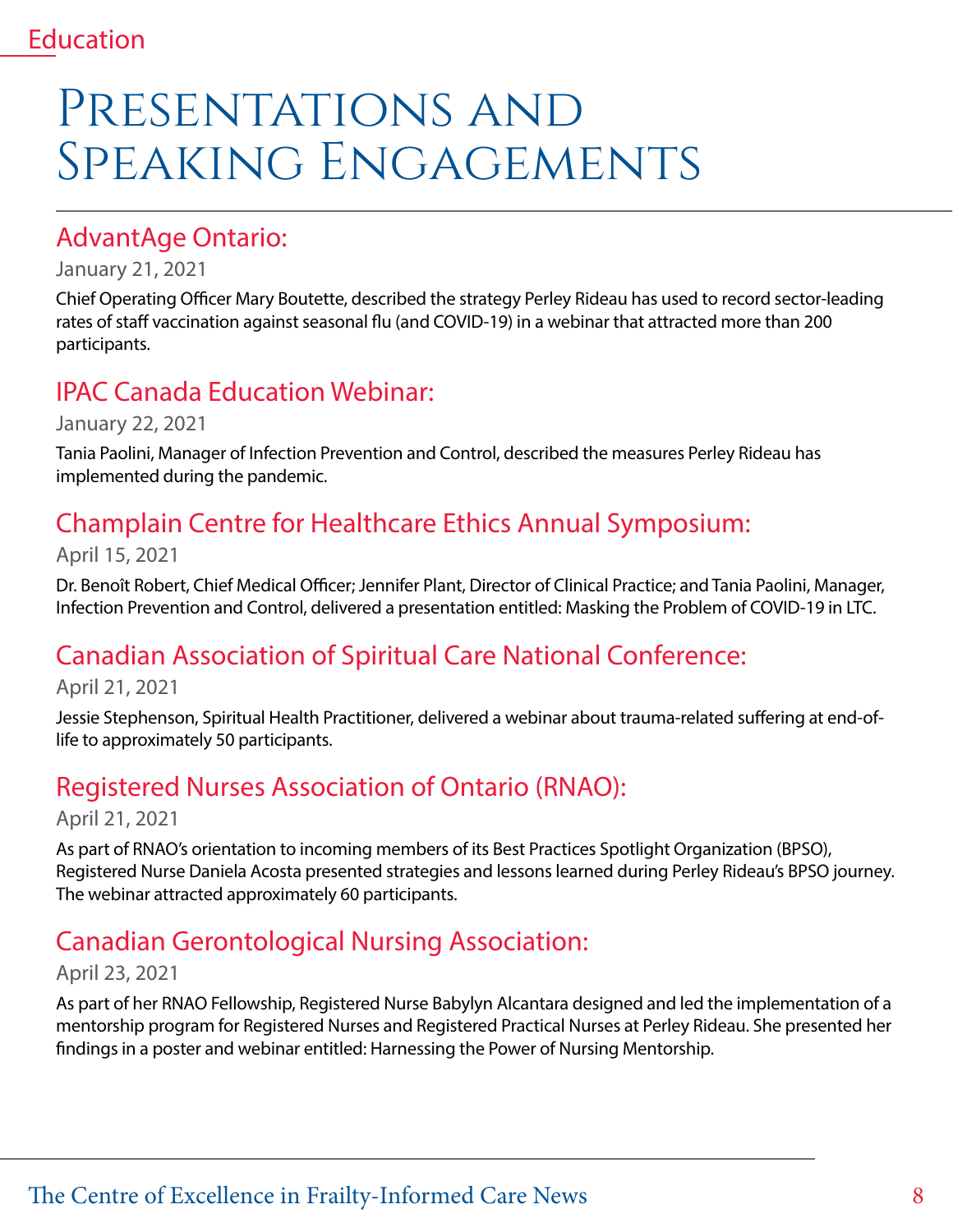## PRESENTATIONS AND Speaking Engagements

### AdvantAge Ontario:

#### January 21, 2021

Chief Operating Officer Mary Boutette, described the strategy Perley Rideau has used to record sector-leading rates of staff vaccination against seasonal flu (and COVID-19) in a webinar that attracted more than 200 participants.

## IPAC Canada Education Webinar:

January 22, 2021

Tania Paolini, Manager of Infection Prevention and Control, described the measures Perley Rideau has implemented during the pandemic.

## Champlain Centre for Healthcare Ethics Annual Symposium:

April 15, 2021

Dr. Benoît Robert, Chief Medical Officer; Jennifer Plant, Director of Clinical Practice; and Tania Paolini, Manager, Infection Prevention and Control, delivered a presentation entitled: Masking the Problem of COVID-19 in LTC.

## Canadian Association of Spiritual Care National Conference:

April 21, 2021

Jessie Stephenson, Spiritual Health Practitioner, delivered a webinar about trauma-related suffering at end-oflife to approximately 50 participants.

## Registered Nurses Association of Ontario (RNAO):

April 21, 2021

As part of RNAO's orientation to incoming members of its Best Practices Spotlight Organization (BPSO), Registered Nurse Daniela Acosta presented strategies and lessons learned during Perley Rideau's BPSO journey. The webinar attracted approximately 60 participants.

## Canadian Gerontological Nursing Association:

#### April 23, 2021

As part of her RNAO Fellowship, Registered Nurse Babylyn Alcantara designed and led the implementation of a mentorship program for Registered Nurses and Registered Practical Nurses at Perley Rideau. She presented her findings in a poster and webinar entitled: Harnessing the Power of Nursing Mentorship.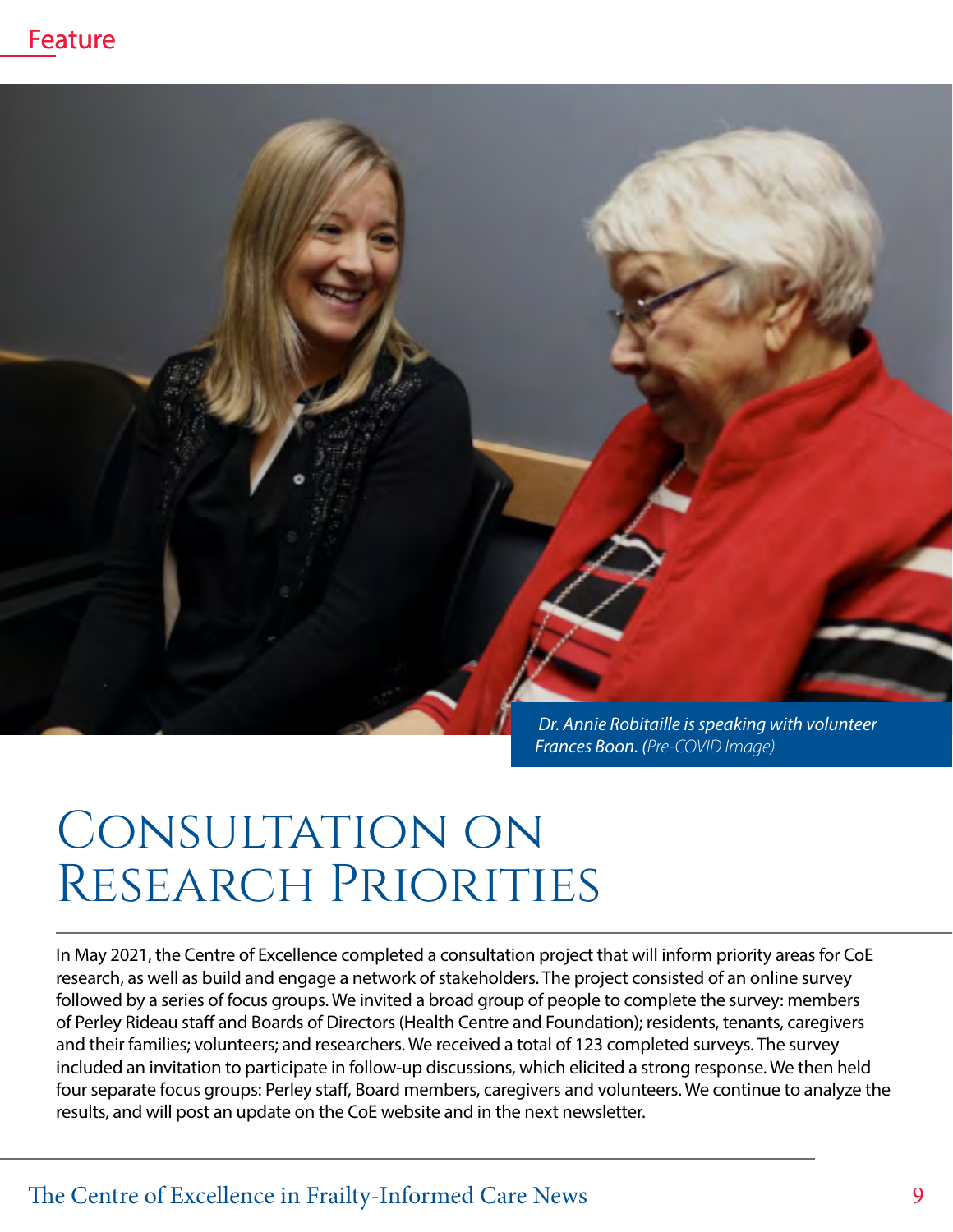



*Frances Boon. (Pre-COVID Image)*

## Consultation on Research Priorities

In May 2021, the Centre of Excellence completed a consultation project that will inform priority areas for CoE research, as well as build and engage a network of stakeholders. The project consisted of an online survey followed by a series of focus groups. We invited a broad group of people to complete the survey: members of Perley Rideau staff and Boards of Directors (Health Centre and Foundation); residents, tenants, caregivers and their families; volunteers; and researchers. We received a total of 123 completed surveys. The survey included an invitation to participate in follow-up discussions, which elicited a strong response. We then held four separate focus groups: Perley staff, Board members, caregivers and volunteers. We continue to analyze the results, and will post an update on the CoE website and in the next newsletter.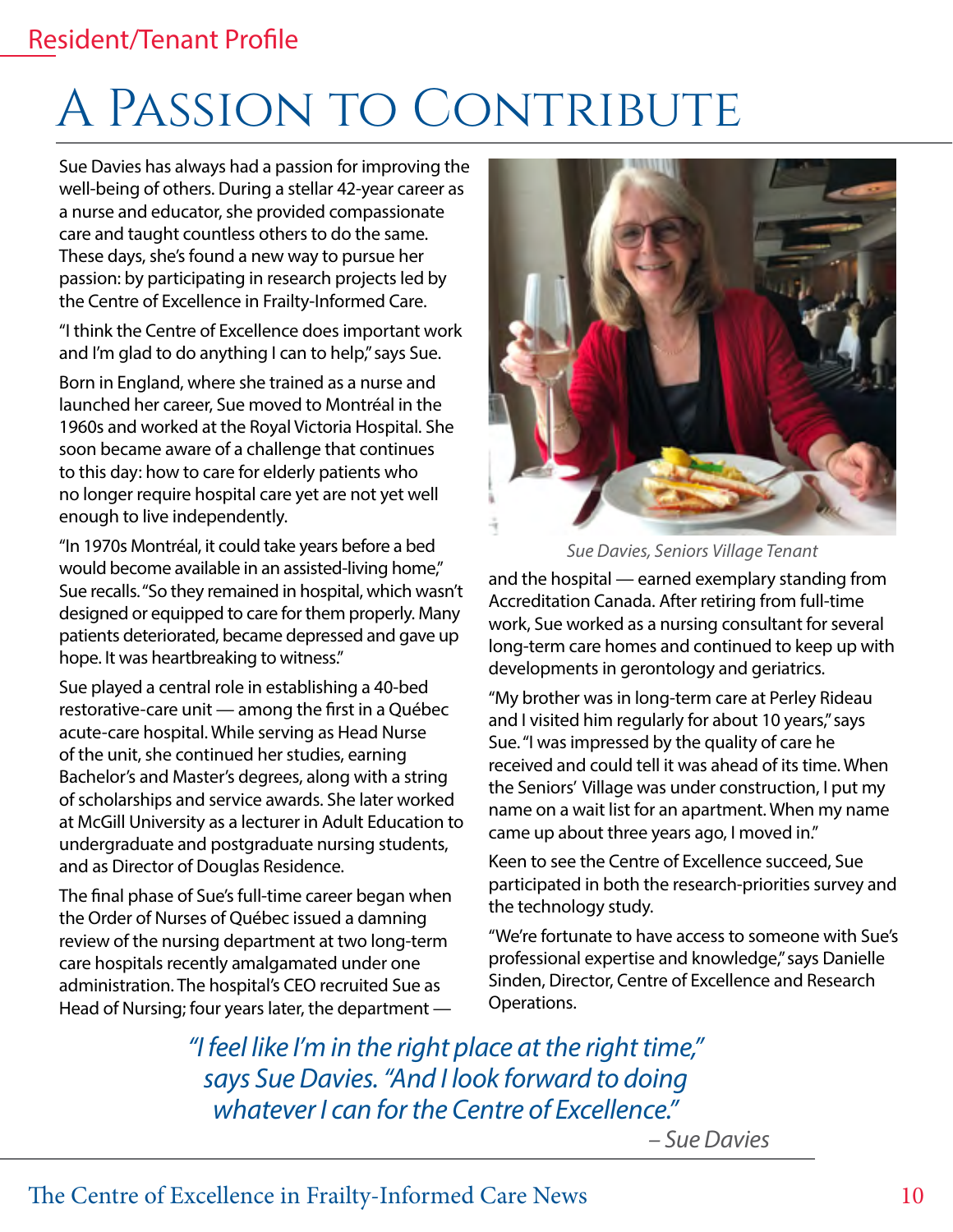## Resident/Tenant Profile

## A PASSION TO CONTRIBUTE

Sue Davies has always had a passion for improving the well-being of others. During a stellar 42-year career as a nurse and educator, she provided compassionate care and taught countless others to do the same. These days, she's found a new way to pursue her passion: by participating in research projects led by the Centre of Excellence in Frailty-Informed Care.

"I think the Centre of Excellence does important work and I'm glad to do anything I can to help," says Sue.

Born in England, where she trained as a nurse and launched her career, Sue moved to Montréal in the 1960s and worked at the Royal Victoria Hospital. She soon became aware of a challenge that continues to this day: how to care for elderly patients who no longer require hospital care yet are not yet well enough to live independently.

"In 1970s Montréal, it could take years before a bed would become available in an assisted-living home," Sue recalls. "So they remained in hospital, which wasn't designed or equipped to care for them properly. Many patients deteriorated, became depressed and gave up hope. It was heartbreaking to witness."

Sue played a central role in establishing a 40-bed restorative-care unit — among the first in a Québec acute-care hospital. While serving as Head Nurse of the unit, she continued her studies, earning Bachelor's and Master's degrees, along with a string of scholarships and service awards. She later worked at McGill University as a lecturer in Adult Education to undergraduate and postgraduate nursing students, and as Director of Douglas Residence.

The final phase of Sue's full-time career began when the Order of Nurses of Québec issued a damning review of the nursing department at two long-term care hospitals recently amalgamated under one administration. The hospital's CEO recruited Sue as Head of Nursing; four years later, the department —



*Sue Davies, Seniors Village Tenant*

and the hospital — earned exemplary standing from Accreditation Canada. After retiring from full-time work, Sue worked as a nursing consultant for several long-term care homes and continued to keep up with developments in gerontology and geriatrics.

"My brother was in long-term care at Perley Rideau and I visited him regularly for about 10 years," says Sue. "I was impressed by the quality of care he received and could tell it was ahead of its time. When the Seniors' Village was under construction, I put my name on a wait list for an apartment. When my name came up about three years ago, I moved in."

Keen to see the Centre of Excellence succeed, Sue participated in both the research-priorities survey and the technology study.

"We're fortunate to have access to someone with Sue's professional expertise and knowledge," says Danielle Sinden, Director, Centre of Excellence and Research Operations.

*"I feel like I'm in the right place at the right time," says Sue Davies. "And I look forward to doing whatever I can for the Centre of Excellence."*

*– Sue Davies*